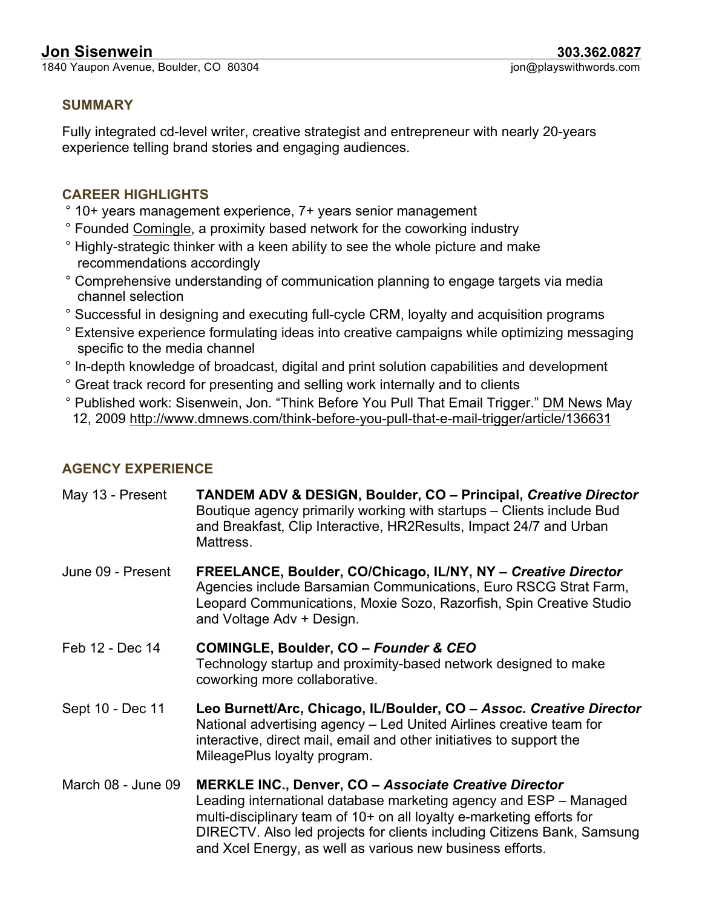1840 Yaupon Avenue, Boulder, CO 80304

#### **SUMMARY**

Fully integrated cd-level writer, creative strategist and entrepreneur with nearly 20-years experience telling brand stories and engaging audiences.

## **CAREER HIGHLIGHTS**

- ° 10+ years management experience, 7+ years senior management
- ° Founded Comingle, a proximity based network for the coworking industry
- ° Highly-strategic thinker with a keen ability to see the whole picture and make recommendations accordingly
- ° Comprehensive understanding of communication planning to engage targets via media channel selection
- ° Successful in designing and executing full-cycle CRM, loyalty and acquisition programs
- ° Extensive experience formulating ideas into creative campaigns while optimizing messaging specific to the media channel
- ° In-depth knowledge of broadcast, digital and print solution capabilities and development
- ° Great track record for presenting and selling work internally and to clients
- ° Published work: Sisenwein, Jon. "Think Before You Pull That Email Trigger." DM News May 12, 2009 http://www.dmnews.com/think-before-you-pull-that-e-mail-trigger/article/136631

# **AGENCY EXPERIENCE**

| May 13 - Present   | <b>TANDEM ADV &amp; DESIGN, Boulder, CO - Principal, Creative Director</b><br>Boutique agency primarily working with startups – Clients include Bud<br>and Breakfast, Clip Interactive, HR2Results, Impact 24/7 and Urban<br>Mattress.                                                                                                             |
|--------------------|----------------------------------------------------------------------------------------------------------------------------------------------------------------------------------------------------------------------------------------------------------------------------------------------------------------------------------------------------|
| June 09 - Present  | FREELANCE, Boulder, CO/Chicago, IL/NY, NY - Creative Director<br>Agencies include Barsamian Communications, Euro RSCG Strat Farm,<br>Leopard Communications, Moxie Sozo, Razorfish, Spin Creative Studio<br>and Voltage Adv + Design.                                                                                                              |
| Feb 12 - Dec 14    | COMINGLE, Boulder, CO - Founder & CEO<br>Technology startup and proximity-based network designed to make<br>coworking more collaborative.                                                                                                                                                                                                          |
| Sept 10 - Dec 11   | Leo Burnett/Arc, Chicago, IL/Boulder, CO - Assoc. Creative Director<br>National advertising agency – Led United Airlines creative team for<br>interactive, direct mail, email and other initiatives to support the<br>MileagePlus loyalty program.                                                                                                 |
| March 08 - June 09 | <b>MERKLE INC., Denver, CO - Associate Creative Director</b><br>Leading international database marketing agency and ESP – Managed<br>multi-disciplinary team of 10+ on all loyalty e-marketing efforts for<br>DIRECTV. Also led projects for clients including Citizens Bank, Samsung<br>and Xcel Energy, as well as various new business efforts. |